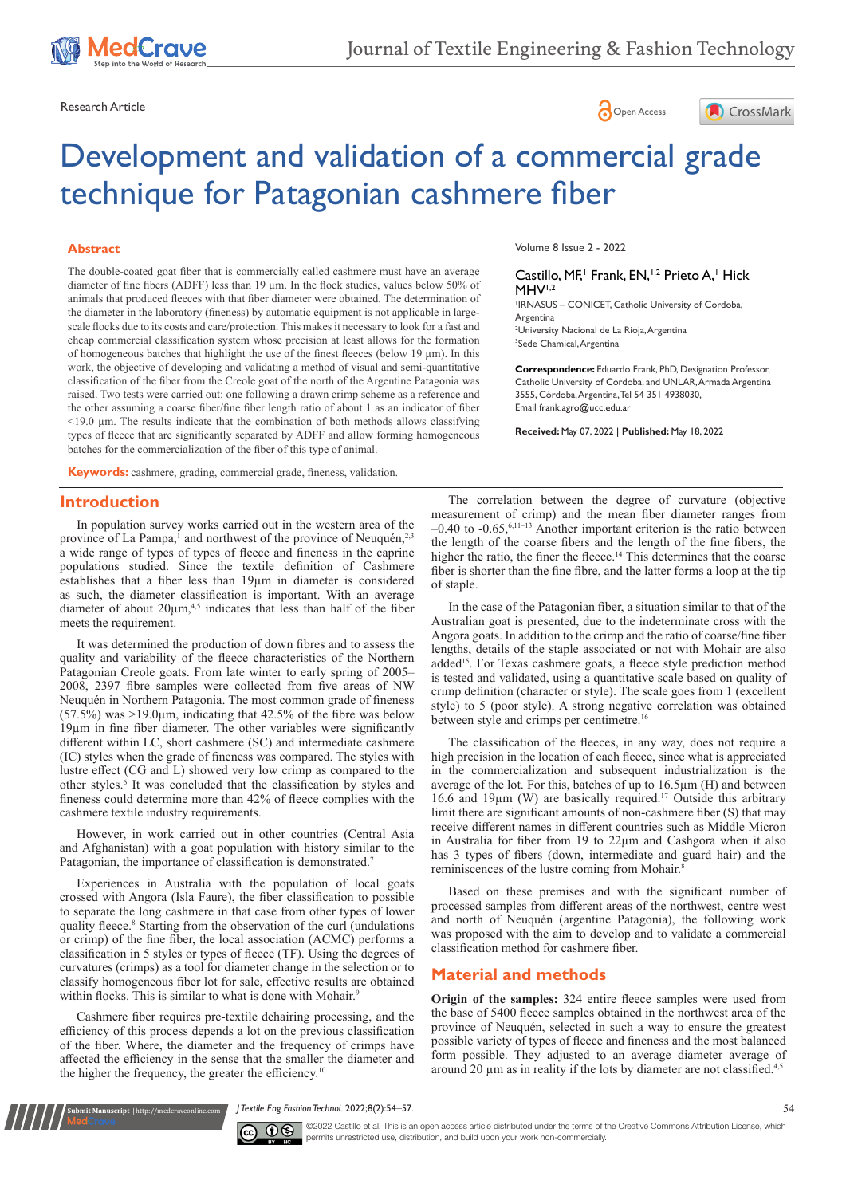





# Development and validation of a commercial grade technique for Patagonian cashmere fiber

#### **Abstract**

The double-coated goat fiber that is commercially called cashmere must have an average diameter of fine fibers (ADFF) less than 19 µm. In the flock studies, values below 50% of animals that produced fleeces with that fiber diameter were obtained. The determination of the diameter in the laboratory (fineness) by automatic equipment is not applicable in largescale flocks due to its costs and care/protection. This makes it necessary to look for a fast and cheap commercial classification system whose precision at least allows for the formation of homogeneous batches that highlight the use of the finest fleeces (below 19 µm). In this work, the objective of developing and validating a method of visual and semi-quantitative classification of the fiber from the Creole goat of the north of the Argentine Patagonia was raised. Two tests were carried out: one following a drawn crimp scheme as a reference and the other assuming a coarse fiber/fine fiber length ratio of about 1 as an indicator of fiber <19.0 µm. The results indicate that the combination of both methods allows classifying types of fleece that are significantly separated by ADFF and allow forming homogeneous batches for the commercialization of the fiber of this type of animal.

**Keywords:** cashmere, grading, commercial grade, fineness, validation.

## **Introduction**

In population survey works carried out in the western area of the province of La Pampa,<sup>1</sup> and northwest of the province of Neuquén,<sup>2,3</sup> a wide range of types of types of fleece and fineness in the caprine populations studied. Since the textile definition of Cashmere establishes that a fiber less than 19µm in diameter is considered as such, the diameter classification is important. With an average diameter of about  $20\mu m$ ,<sup>4,5</sup> indicates that less than half of the fiber meets the requirement.

It was determined the production of down fibres and to assess the quality and variability of the fleece characteristics of the Northern Patagonian Creole goats. From late winter to early spring of 2005– 2008, 2397 fibre samples were collected from five areas of NW Neuquén in Northern Patagonia. The most common grade of fineness (57.5%) was  $>19.0\mu$ m, indicating that 42.5% of the fibre was below 19µm in fine fiber diameter. The other variables were significantly different within LC, short cashmere (SC) and intermediate cashmere (IC) styles when the grade of fineness was compared. The styles with lustre effect (CG and L) showed very low crimp as compared to the other styles.<sup>6</sup> It was concluded that the classification by styles and fineness could determine more than 42% of fleece complies with the cashmere textile industry requirements.

However, in work carried out in other countries (Central Asia and Afghanistan) with a goat population with history similar to the Patagonian, the importance of classification is demonstrated.<sup>7</sup>

Experiences in Australia with the population of local goats crossed with Angora (Isla Faure), the fiber classification to possible to separate the long cashmere in that case from other types of lower quality fleece.<sup>8</sup> Starting from the observation of the curl (undulations or crimp) of the fine fiber, the local association (ACMC) performs a classification in 5 styles or types of fleece (TF). Using the degrees of curvatures (crimps) as a tool for diameter change in the selection or to classify homogeneous fiber lot for sale, effective results are obtained within flocks. This is similar to what is done with Mohair.<sup>9</sup>

Cashmere fiber requires pre-textile dehairing processing, and the efficiency of this process depends a lot on the previous classification of the fiber. Where, the diameter and the frequency of crimps have affected the efficiency in the sense that the smaller the diameter and the higher the frequency, the greater the efficiency.<sup>10</sup>

**Kubmit Manuscript** | http://medcraveonline.com

Volume 8 Issue 2 - 2022

#### Castillo, MF,<sup>1</sup> Frank, EN,<sup>1,2</sup> Prieto A,<sup>1</sup> Hick  $MHV<sup>1,2</sup>$

1 IRNASUS – CONICET, Catholic University of Cordoba, Argentina 2 University Nacional de La Rioja, Argentina

3 Sede Chamical, Argentina

**Correspondence:** Eduardo Frank, PhD, Designation Professor, Catholic University of Cordoba, and UNLAR, Armada Argentina 3555, Córdoba, Argentina, Tel 54 351 4938030, Email frank.agro@ucc.edu.ar

**Received:** May 07, 2022 | **Published:** May 18, 2022

The correlation between the degree of curvature (objective measurement of crimp) and the mean fiber diameter ranges from  $-0.40$  to  $-0.65$ ,  $6,11-13$  Another important criterion is the ratio between the length of the coarse fibers and the length of the fine fibers, the higher the ratio, the finer the fleece.<sup>14</sup> This determines that the coarse fiber is shorter than the fine fibre, and the latter forms a loop at the tip of staple.

In the case of the Patagonian fiber, a situation similar to that of the Australian goat is presented, due to the indeterminate cross with the Angora goats. In addition to the crimp and the ratio of coarse/fine fiber lengths, details of the staple associated or not with Mohair are also added15. For Texas cashmere goats, a fleece style prediction method is tested and validated, using a quantitative scale based on quality of crimp definition (character or style). The scale goes from 1 (excellent style) to 5 (poor style). A strong negative correlation was obtained between style and crimps per centimetre.<sup>16</sup>

The classification of the fleeces, in any way, does not require a high precision in the location of each fleece, since what is appreciated in the commercialization and subsequent industrialization is the average of the lot. For this, batches of up to 16.5µm (H) and between 16.6 and 19µm (W) are basically required.17 Outside this arbitrary limit there are significant amounts of non-cashmere fiber (S) that may receive different names in different countries such as Middle Micron in Australia for fiber from 19 to 22µm and Cashgora when it also has 3 types of fibers (down, intermediate and guard hair) and the reminiscences of the lustre coming from Mohair.<sup>8</sup>

Based on these premises and with the significant number of processed samples from different areas of the northwest, centre west and north of Neuquén (argentine Patagonia), the following work was proposed with the aim to develop and to validate a commercial classification method for cashmere fiber.

# **Material and methods**

**Origin of the samples:** 324 entire fleece samples were used from the base of 5400 fleece samples obtained in the northwest area of the province of Neuquén, selected in such a way to ensure the greatest possible variety of types of fleece and fineness and the most balanced form possible. They adjusted to an average diameter average of around 20  $\mu$ m as in reality if the lots by diameter are not classified.<sup>4,5</sup>

*J Textile Eng Fashion Technol.* 2022;8(2):54‒57. 54



 $\overline{\text{cc}}$   $\overline{\text{C}}$   $\odot$   $\odot$  2022 Castillo et al. This is an open access article distributed under the terms of the Creative Commons Attribution License, which permits unrestricted use, distribution, and build upon your work non-commercially.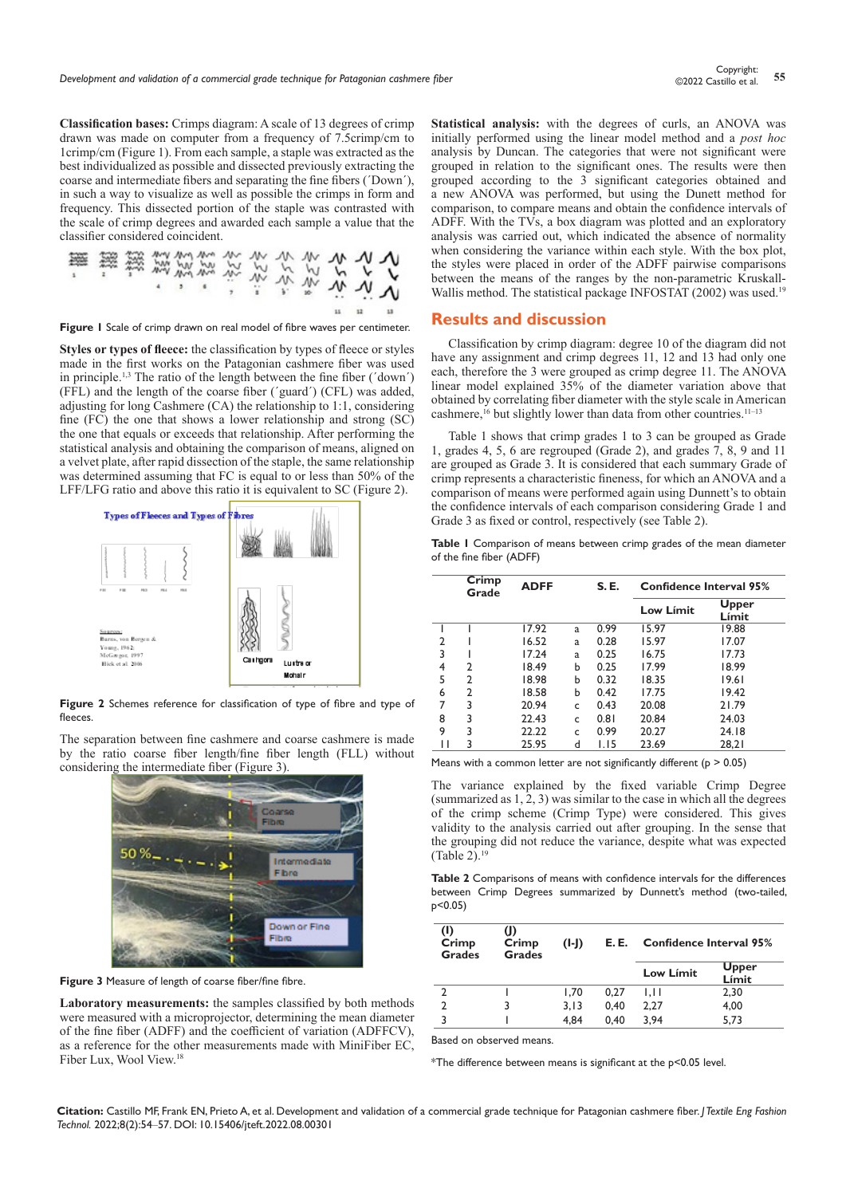**Classification bases:** Crimps diagram: A scale of 13 degrees of crimp drawn was made on computer from a frequency of 7.5crimp/cm to 1crimp/cm (Figure 1). From each sample, a staple was extracted as the best individualized as possible and dissected previously extracting the coarse and intermediate fibers and separating the fine fibers (´Down´), in such a way to visualize as well as possible the crimps in form and frequency. This dissected portion of the staple was contrasted with the scale of crimp degrees and awarded each sample a value that the classifier considered coincident.

**Figure 1** Scale of crimp drawn on real model of fibre waves per centimeter.

**Styles or types of fleece:** the classification by types of fleece or styles made in the first works on the Patagonian cashmere fiber was used in principle.1,3 The ratio of the length between the fine fiber (´down´) (FFL) and the length of the coarse fiber (´guard´) (CFL) was added, adjusting for long Cashmere (CA) the relationship to 1:1, considering fine (FC) the one that shows a lower relationship and strong (SC) the one that equals or exceeds that relationship. After performing the statistical analysis and obtaining the comparison of means, aligned on a velvet plate, after rapid dissection of the staple, the same relationship was determined assuming that FC is equal to or less than 50% of the LFF/LFG ratio and above this ratio it is equivalent to SC (Figure 2).



**Figure 2** Schemes reference for classification of type of fibre and type of fleeces.

The separation between fine cashmere and coarse cashmere is made by the ratio coarse fiber length/fine fiber length (FLL) without considering the intermediate fiber (Figure 3).



**Figure 3** Measure of length of coarse fiber/fine fibre.

**Laboratory measurements:** the samples classified by both methods were measured with a microprojector, determining the mean diameter of the fine fiber (ADFF) and the coefficient of variation (ADFFCV), as a reference for the other measurements made with MiniFiber EC, Fiber Lux, Wool View.<sup>18</sup>

**Statistical analysis:** with the degrees of curls, an ANOVA was initially performed using the linear model method and a *post hoc* analysis by Duncan. The categories that were not significant were grouped in relation to the significant ones. The results were then grouped according to the 3 significant categories obtained and a new ANOVA was performed, but using the Dunett method for comparison, to compare means and obtain the confidence intervals of ADFF. With the TVs, a box diagram was plotted and an exploratory analysis was carried out, which indicated the absence of normality when considering the variance within each style. With the box plot, the styles were placed in order of the ADFF pairwise comparisons between the means of the ranges by the non-parametric Kruskall-Wallis method. The statistical package INFOSTAT (2002) was used.<sup>19</sup>

## **Results and discussion**

Classification by crimp diagram: degree 10 of the diagram did not have any assignment and crimp degrees 11, 12 and 13 had only one each, therefore the 3 were grouped as crimp degree 11. The ANOVA linear model explained 35% of the diameter variation above that obtained by correlating fiber diameter with the style scale in American cashmere,<sup>16</sup> but slightly lower than data from other countries.<sup>11-13</sup>

Table 1 shows that crimp grades 1 to 3 can be grouped as Grade 1, grades 4, 5, 6 are regrouped (Grade 2), and grades 7, 8, 9 and 11 are grouped as Grade 3. It is considered that each summary Grade of crimp represents a characteristic fineness, for which an ANOVA and a comparison of means were performed again using Dunnett's to obtain the confidence intervals of each comparison considering Grade 1 and Grade 3 as fixed or control, respectively (see Table 2).

**Table 1** Comparison of means between crimp grades of the mean diameter of the fine fiber (ADFF)

|   | Crimp<br>Grade | <b>ADFF</b> |   | <b>S.E.</b> | <b>Confidence Interval 95%</b> |                |  |
|---|----------------|-------------|---|-------------|--------------------------------|----------------|--|
|   |                |             |   |             | Low Límit                      | Upper<br>Límit |  |
|   |                | 17.92       | a | 0.99        | 15.97                          | 19.88          |  |
| 2 |                | 16.52       | a | 0.28        | 15.97                          | 17.07          |  |
| 3 |                | 17.24       | a | 0.25        | 16.75                          | 17.73          |  |
| 4 | 2              | 18.49       | b | 0.25        | 17.99                          | 18.99          |  |
| 5 | $\mathcal{P}$  | 18.98       | b | 0.32        | 18.35                          | 19.61          |  |
| 6 | 2              | 18.58       | b | 0.42        | 17.75                          | 19.42          |  |
| 7 | 3              | 20.94       | C | 0.43        | 20.08                          | 21.79          |  |
| 8 | 3              | 22.43       | c | 0.81        | 20.84                          | 24.03          |  |
| 9 | 3              | 22.22       | Ċ | 0.99        | 20.27                          | 24.18          |  |
| Н | 3              | 25.95       | d | 1.15        | 23.69                          | 28,21          |  |

Means with a common letter are not significantly different ( $p > 0.05$ )

The variance explained by the fixed variable Crimp Degree (summarized as 1, 2, 3) was similar to the case in which all the degrees of the crimp scheme (Crimp Type) were considered. This gives validity to the analysis carried out after grouping. In the sense that the grouping did not reduce the variance, despite what was expected (Table 2). $19$ 

**Table 2** Comparisons of means with confidence intervals for the differences between Crimp Degrees summarized by Dunnett's method (two-tailed, p<0.05)

| (1)<br>Crimp<br><b>Grades</b> | (J)<br>Crimp<br><b>Grades</b> | $(I-I)$ | E.E. | Confidence Interval 95% |                |
|-------------------------------|-------------------------------|---------|------|-------------------------|----------------|
|                               |                               |         |      | Low Límit               | Upper<br>Límit |
|                               |                               | 1.70    | 0.27 | 1.11                    | 2,30           |
|                               |                               | 3.13    | 0.40 | 2,27                    | 4,00           |
| ٦                             |                               | 4.84    | 0.40 | 3.94                    | 5.73           |

Based on observed means.

\*The difference between means is significant at the p<0.05 level.

**Citation:** Castillo MF, Frank EN, Prieto A, et al. Development and validation of a commercial grade technique for Patagonian cashmere fiber. *J Textile Eng Fashion Technol.* 2022;8(2):54‒57. DOI: [10.15406/jteft.2022.08.00301](https://doi.org/10.15406/jteft.2022.08.00301)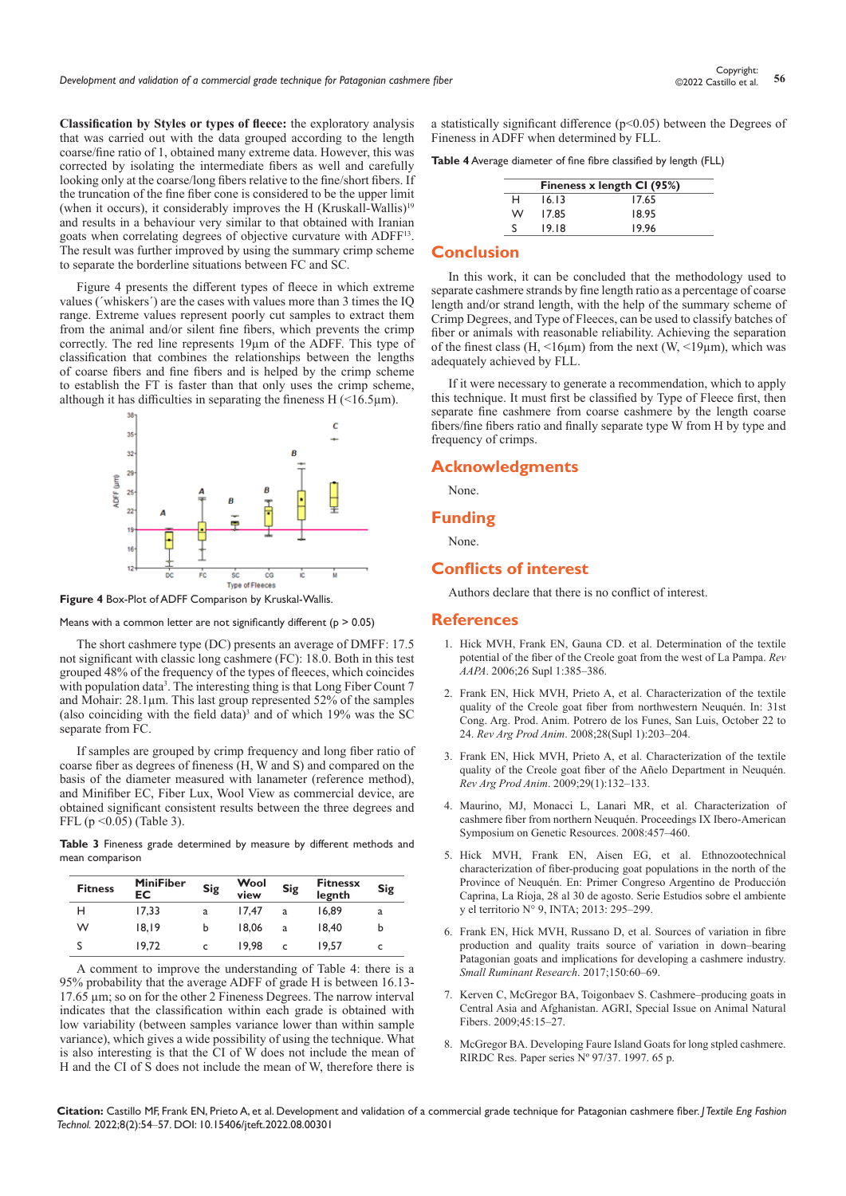**Classification by Styles or types of fleece:** the exploratory analysis that was carried out with the data grouped according to the length coarse/fine ratio of 1, obtained many extreme data. However, this was corrected by isolating the intermediate fibers as well and carefully looking only at the coarse/long fibers relative to the fine/short fibers. If the truncation of the fine fiber cone is considered to be the upper limit (when it occurs), it considerably improves the H (Kruskall-Wallis)<sup>19</sup> and results in a behaviour very similar to that obtained with Iranian goats when correlating degrees of objective curvature with ADFF13. The result was further improved by using the summary crimp scheme to separate the borderline situations between FC and SC.

Figure 4 presents the different types of fleece in which extreme values (´whiskers´) are the cases with values more than 3 times the IQ range. Extreme values represent poorly cut samples to extract them from the animal and/or silent fine fibers, which prevents the crimp correctly. The red line represents 19µm of the ADFF. This type of classification that combines the relationships between the lengths of coarse fibers and fine fibers and is helped by the crimp scheme to establish the FT is faster than that only uses the crimp scheme, although it has difficulties in separating the fineness  $H$  (<16.5 $\mu$ m).



**Figure 4** Box-Plot of ADFF Comparison by Kruskal-Wallis.

Means with a common letter are not significantly different ( $p > 0.05$ )

The short cashmere type (DC) presents an average of DMFF: 17.5 not significant with classic long cashmere (FC): 18.0. Both in this test grouped 48% of the frequency of the types of fleeces, which coincides with population data<sup>3</sup>. The interesting thing is that Long Fiber Count 7 and Mohair: 28.1µm. This last group represented 52% of the samples (also coinciding with the field data)<sup>3</sup> and of which  $19\%$  was the SC separate from FC.

If samples are grouped by crimp frequency and long fiber ratio of coarse fiber as degrees of fineness (H, W and S) and compared on the basis of the diameter measured with lanameter (reference method), and Minifiber EC, Fiber Lux, Wool View as commercial device, are obtained significant consistent results between the three degrees and FFL ( $p \le 0.05$ ) (Table 3).

**Table 3** Fineness grade determined by measure by different methods and mean comparison

| <b>Fitness</b> | <b>MiniFiber</b><br>EС | Sig | Wool<br>view | Sig | <b>Fitnessx</b><br>legnth | Sig |
|----------------|------------------------|-----|--------------|-----|---------------------------|-----|
| н              | 17.33                  | a   | 17.47        | a   | 16.89                     | a   |
| w              | 18.19                  | b   | 18.06        | a   | 18.40                     | b   |
| S              | 19.72                  |     | 19.98        | c   | 19.57                     |     |

A comment to improve the understanding of Table 4: there is a 95% probability that the average ADFF of grade H is between 16.13- 17.65 µm; so on for the other 2 Fineness Degrees. The narrow interval indicates that the classification within each grade is obtained with low variability (between samples variance lower than within sample variance), which gives a wide possibility of using the technique. What is also interesting is that the CI of W does not include the mean of H and the CI of S does not include the mean of W, therefore there is

a statistically significant difference (p<0.05) between the Degrees of Fineness in ADFF when determined by FLL.

**Table 4** Average diameter of fine fibre classified by length (FLL)

|   | Fineness x length CI (95%) |       |  |  |
|---|----------------------------|-------|--|--|
| н | 16.13                      | 17.65 |  |  |
| w | 17.85                      | 18.95 |  |  |
| ς | 19.18                      | 19.96 |  |  |

### **Conclusion**

In this work, it can be concluded that the methodology used to separate cashmere strands by fine length ratio as a percentage of coarse length and/or strand length, with the help of the summary scheme of Crimp Degrees, and Type of Fleeces, can be used to classify batches of fiber or animals with reasonable reliability. Achieving the separation of the finest class (H,  $\leq 16\mu m$ ) from the next (W,  $\leq 19\mu m$ ), which was adequately achieved by FLL.

If it were necessary to generate a recommendation, which to apply this technique. It must first be classified by Type of Fleece first, then separate fine cashmere from coarse cashmere by the length coarse fibers/fine fibers ratio and finally separate type W from H by type and frequency of crimps.

# **Acknowledgments**

None.

**Funding** 

None.

## **Conflicts of interest**

Authors declare that there is no conflict of interest.

#### **References**

- 1. [Hick MVH, Frank EN, Gauna CD. et al. Determination of the textile](http://pa.bibdigital.uccor.edu.ar/1333/1/A_Hick_Frank_Castillo_Prieto_Ahumada.pdf)  [potential of the fiber of the Creole goat from the west of La Pampa.](http://pa.bibdigital.uccor.edu.ar/1333/1/A_Hick_Frank_Castillo_Prieto_Ahumada.pdf) *Rev AAPA*[. 2006;26 Supl 1:385–386.](http://pa.bibdigital.uccor.edu.ar/1333/1/A_Hick_Frank_Castillo_Prieto_Ahumada.pdf)
- 2. Frank EN, Hick MVH, Prieto A, et al. Characterization of the textile quality of the Creole goat fiber from northwestern Neuquén. In: 31st Cong. Arg. Prod. Anim. Potrero de los Funes, San Luis, October 22 to 24. *Rev Arg Prod Anim*. 2008;28(Supl 1):203–204.
- 3. Frank EN, Hick MVH, Prieto A, et al. Characterization of the textile quality of the Creole goat fiber of the Añelo Department in Neuquén. *Rev Arg Prod Anim*. 2009;29(1):132–133.
- 4. Maurino, MJ, Monacci L, Lanari MR, et al. Characterization of cashmere fiber from northern Neuquén. Proceedings IX Ibero-American Symposium on Genetic Resources. 2008:457–460.
- 5. [Hick MVH, Frank EN, Aisen EG, et al. Ethnozootechnical](https://dialnet.unirioja.es/servlet/articulo?codigo=6432839)  [characterization of fiber-producing goat populations in the north of the](https://dialnet.unirioja.es/servlet/articulo?codigo=6432839)  [Province of Neuquén. En: Primer Congreso Argentino de Producción](https://dialnet.unirioja.es/servlet/articulo?codigo=6432839)  [Caprina, La Rioja, 28 al 30 de agosto. Serie Estudios sobre el ambiente](https://dialnet.unirioja.es/servlet/articulo?codigo=6432839)  [y el territorio N° 9, INTA; 2013: 295–299.](https://dialnet.unirioja.es/servlet/articulo?codigo=6432839)
- 6. [Frank EN, Hick MVH, Russano D, et al. Sources of variation in fibre](https://www.sciencedirect.com/science/article/abs/pii/S0921448817300615)  [production and quality traits source of variation in down–bearing](https://www.sciencedirect.com/science/article/abs/pii/S0921448817300615)  [Patagonian goats and implications for developing a cashmere industry.](https://www.sciencedirect.com/science/article/abs/pii/S0921448817300615)  *[Small Ruminant Research](https://www.sciencedirect.com/science/article/abs/pii/S0921448817300615)*. 2017;150:60–69.
- 7. [Kerven C, McGregor BA, Toigonbaev S. Cashmere–producing goats in](https://www.cambridge.org/core/journals/animal-genetic-resources-resources-genetiques-animales-recursos-geneticos-animales/article/abs/cashmereproducing-goats-in-central-asia-and-afghanistan/90D6B9AD85FBD787BCC8291D71D6628F)  [Central Asia and Afghanistan. AGRI, Special Issue on Animal Natural](https://www.cambridge.org/core/journals/animal-genetic-resources-resources-genetiques-animales-recursos-geneticos-animales/article/abs/cashmereproducing-goats-in-central-asia-and-afghanistan/90D6B9AD85FBD787BCC8291D71D6628F)  [Fibers. 2009;45:15–27.](https://www.cambridge.org/core/journals/animal-genetic-resources-resources-genetiques-animales-recursos-geneticos-animales/article/abs/cashmereproducing-goats-in-central-asia-and-afghanistan/90D6B9AD85FBD787BCC8291D71D6628F)
- 8. [McGregor BA. Developing Faure Island Goats for long stpled cashmere.](https://citeseerx.ist.psu.edu/viewdoc/download?doi=10.1.1.509.8338&rep=rep1&type=pdf)  [RIRDC Res. Paper series Nº 97/37. 1997. 65 p.](https://citeseerx.ist.psu.edu/viewdoc/download?doi=10.1.1.509.8338&rep=rep1&type=pdf)

**Citation:** Castillo MF, Frank EN, Prieto A, et al. Development and validation of a commercial grade technique for Patagonian cashmere fiber. *J Textile Eng Fashion Technol.* 2022;8(2):54‒57. DOI: [10.15406/jteft.2022.08.00301](https://doi.org/10.15406/jteft.2022.08.00301)